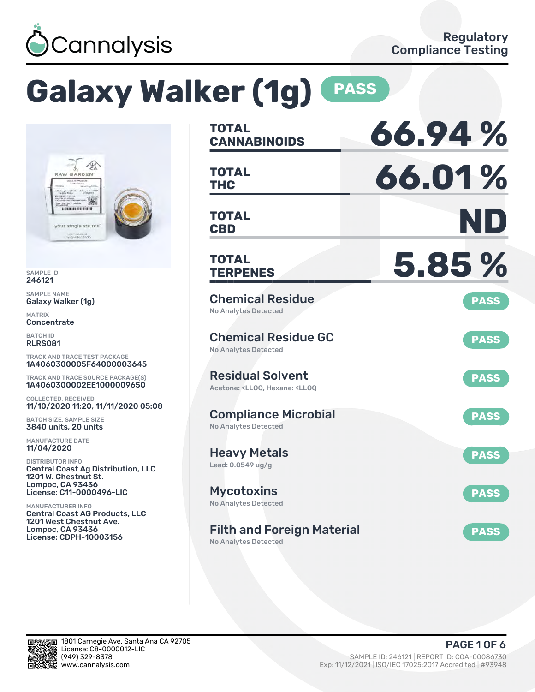

# **Galaxy Walker (1g) PASS**



SAMPLE ID 246121

SAMPLE NAME Galaxy Walker (1g)

MATRIX **Concentrate** 

BATCH ID RLRS081

TRACK AND TRACE TEST PACKAGE 1A4060300005F64000003645

TRACK AND TRACE SOURCE PACKAGE(S) 1A4060300002EE1000009650

COLLECTED, RECEIVED 11/10/2020 11:20, 11/11/2020 05:08

BATCH SIZE, SAMPLE SIZE 3840 units, 20 units

MANUFACTURE DATE 11/04/2020

DISTRIBUTOR INFO Central Coast Ag Distribution, LLC 1201 W. Chestnut St. Lompoc, CA 93436 License: C11-0000496-LIC

MANUFACTURER INFO Central Coast AG Products, LLC 1201 West Chestnut Ave. Lompoc, CA 93436 License: CDPH-10003156

| <b>TOTAL</b><br><b>CANNABINOIDS</b>                                                                | 66.94%      |
|----------------------------------------------------------------------------------------------------|-------------|
| <b>TOTAL</b><br><b>THC</b>                                                                         | 66.01%      |
| <b>TOTAL</b><br><b>CBD</b>                                                                         | ND          |
| <b>TOTAL</b><br><b>TERPENES</b>                                                                    | 5.85%       |
| <b>Chemical Residue</b><br><b>No Analytes Detected</b>                                             | <b>PASS</b> |
| <b>Chemical Residue GC</b><br><b>No Analytes Detected</b>                                          | <b>PASS</b> |
| <b>Residual Solvent</b><br>Acetone: <ll00. <ll00<="" hexane:="" td=""><td><b>PASS</b></td></ll00.> | <b>PASS</b> |
| <b>Compliance Microbial</b><br><b>No Analytes Detected</b>                                         | <b>PASS</b> |
| <b>Heavy Metals</b><br>Lead: 0.0549 ug/g                                                           | <b>PASS</b> |
| <b>Mycotoxins</b><br>No Analytes Detected                                                          | <b>PASS</b> |
| <b>Filth and Foreign Material</b><br>No Analytes Detected                                          | <b>PASS</b> |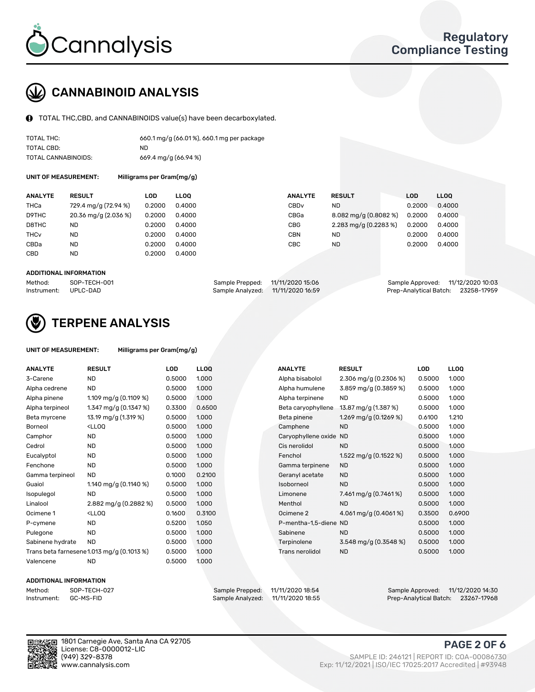

## CANNABINOID ANALYSIS

TOTAL THC,CBD, and CANNABINOIDS value(s) have been decarboxylated.

| TOTAL THC:          | 660.1 mg/g (66.01%), 660.1 mg per package |
|---------------------|-------------------------------------------|
| TOTAL CBD:          | ND.                                       |
| TOTAL CANNABINOIDS: | 669.4 mg/g (66.94 %)                      |

UNIT OF MEASUREMENT: Milligrams per Gram(mg/g)

| <b>ANALYTE</b>         | <b>RESULT</b>        | LOD    | <b>LLOO</b> | <b>ANALYTE</b>   | <b>RESULT</b>         | LOD    | <b>LLOO</b> |
|------------------------|----------------------|--------|-------------|------------------|-----------------------|--------|-------------|
| THCa                   | 729.4 mg/g (72.94 %) | 0.2000 | 0.4000      | CBD <sub>v</sub> | <b>ND</b>             | 0.2000 | 0.4000      |
| D9THC                  | 20.36 mg/g (2.036 %) | 0.2000 | 0.4000      | CBGa             | 8.082 mg/g (0.8082 %) | 0.2000 | 0.4000      |
| D8THC                  | ND                   | 0.2000 | 0.4000      | <b>CBG</b>       | 2.283 mg/g (0.2283 %) | 0.2000 | 0.4000      |
| <b>THC<sub>v</sub></b> | <b>ND</b>            | 0.2000 | 0.4000      | <b>CBN</b>       | <b>ND</b>             | 0.2000 | 0.4000      |
| CBDa                   | <b>ND</b>            | 0.2000 | 0.4000      | CBC              | <b>ND</b>             | 0.2000 | 0.4000      |
| CBD                    | <b>ND</b>            | 0.2000 | 0.4000      |                  |                       |        |             |
|                        |                      |        |             |                  |                       |        |             |

#### ADDITIONAL INFORMATION

| Method:              | SOP-TECH-001 | Sample Prepped: 11/11/2020 15:06  | Sample Approved: 11/12/2020 10:03  |  |
|----------------------|--------------|-----------------------------------|------------------------------------|--|
| Instrument: UPLC-DAD |              | Sample Analyzed: 11/11/2020 16:59 | Prep-Analytical Batch: 23258-17959 |  |



## TERPENE ANALYSIS

| UNIT OF MEASUREMENT: | Milligrams per Gram(mg/g) |
|----------------------|---------------------------|
|----------------------|---------------------------|

| <b>ANALYTE</b>   | <b>RESULT</b>                                                                                                                                  | <b>LOD</b> | <b>LLOQ</b> | <b>ANALYTE</b>         | <b>RESULT</b>           | <b>LOD</b> | <b>LLOQ</b> |
|------------------|------------------------------------------------------------------------------------------------------------------------------------------------|------------|-------------|------------------------|-------------------------|------------|-------------|
| 3-Carene         | ND.                                                                                                                                            | 0.5000     | 1.000       | Alpha bisabolol        | 2.306 mg/g $(0.2306\%)$ | 0.5000     | 1.000       |
| Alpha cedrene    | <b>ND</b>                                                                                                                                      | 0.5000     | 1.000       | Alpha humulene         | 3.859 mg/g (0.3859 %)   | 0.5000     | 1.000       |
| Alpha pinene     | 1.109 mg/g $(0.1109 \%)$                                                                                                                       | 0.5000     | 1.000       | Alpha terpinene        | <b>ND</b>               | 0.5000     | 1.000       |
| Alpha terpineol  | 1.347 mg/g (0.1347 %)                                                                                                                          | 0.3300     | 0.6500      | Beta caryophyllene     | 13.87 mg/g (1.387 %)    | 0.5000     | 1.000       |
| Beta myrcene     | 13.19 mg/g (1.319 %)                                                                                                                           | 0.5000     | 1.000       | Beta pinene            | 1.269 mg/g (0.1269 %)   | 0.6100     | 1.210       |
| Borneol          | <ll0q< td=""><td>0.5000</td><td>1.000</td><td>Camphene</td><td><b>ND</b></td><td>0.5000</td><td>1.000</td></ll0q<>                             | 0.5000     | 1.000       | Camphene               | <b>ND</b>               | 0.5000     | 1.000       |
| Camphor          | <b>ND</b>                                                                                                                                      | 0.5000     | 1.000       | Caryophyllene oxide ND |                         | 0.5000     | 1.000       |
| Cedrol           | <b>ND</b>                                                                                                                                      | 0.5000     | 1.000       | Cis nerolidol          | <b>ND</b>               | 0.5000     | 1.000       |
| Eucalyptol       | <b>ND</b>                                                                                                                                      | 0.5000     | 1.000       | Fenchol                | 1.522 mg/g $(0.1522%)$  | 0.5000     | 1.000       |
| Fenchone         | <b>ND</b>                                                                                                                                      | 0.5000     | 1.000       | Gamma terpinene        | <b>ND</b>               | 0.5000     | 1.000       |
| Gamma terpineol  | <b>ND</b>                                                                                                                                      | 0.1000     | 0.2100      | Geranyl acetate        | <b>ND</b>               | 0.5000     | 1.000       |
| Guaiol           | 1.140 mg/g $(0.1140%)$                                                                                                                         | 0.5000     | 1.000       | Isoborneol             | <b>ND</b>               | 0.5000     | 1.000       |
| Isopulegol       | <b>ND</b>                                                                                                                                      | 0.5000     | 1.000       | Limonene               | 7.461 mg/g (0.7461%)    | 0.5000     | 1.000       |
| Linalool         | 2.882 mg/g (0.2882 %)                                                                                                                          | 0.5000     | 1.000       | Menthol                | <b>ND</b>               | 0.5000     | 1.000       |
| Ocimene 1        | <ll0q< td=""><td>0.1600</td><td>0.3100</td><td>Ocimene 2</td><td>4.061 mg/g <math>(0.4061\%)</math></td><td>0.3500</td><td>0.6900</td></ll0q<> | 0.1600     | 0.3100      | Ocimene 2              | 4.061 mg/g $(0.4061\%)$ | 0.3500     | 0.6900      |
| P-cymene         | <b>ND</b>                                                                                                                                      | 0.5200     | 1.050       | P-mentha-1,5-diene ND  |                         | 0.5000     | 1.000       |
| Pulegone         | <b>ND</b>                                                                                                                                      | 0.5000     | 1.000       | Sabinene               | <b>ND</b>               | 0.5000     | 1.000       |
| Sabinene hydrate | <b>ND</b>                                                                                                                                      | 0.5000     | 1.000       | Terpinolene            | 3.548 mg/g (0.3548 %)   | 0.5000     | 1.000       |
|                  | Trans beta farnesene1.013 mg/g (0.1013 %)                                                                                                      | 0.5000     | 1.000       | Trans nerolidol        | <b>ND</b>               | 0.5000     | 1.000       |
| Valencene        | <b>ND</b>                                                                                                                                      | 0.5000     | 1.000       |                        |                         |            |             |

#### ADDITIONAL INFORMATION

| Method:     | SOP-TECH- |
|-------------|-----------|
| Instrument: | GC-MS-FID |

Method: SOP-TECH-027 Sample Prepped: 11/11/2020 18:54 Sample Approved: 11/12/2020 14:30 Prep-Analytical Batch: 23267-17968

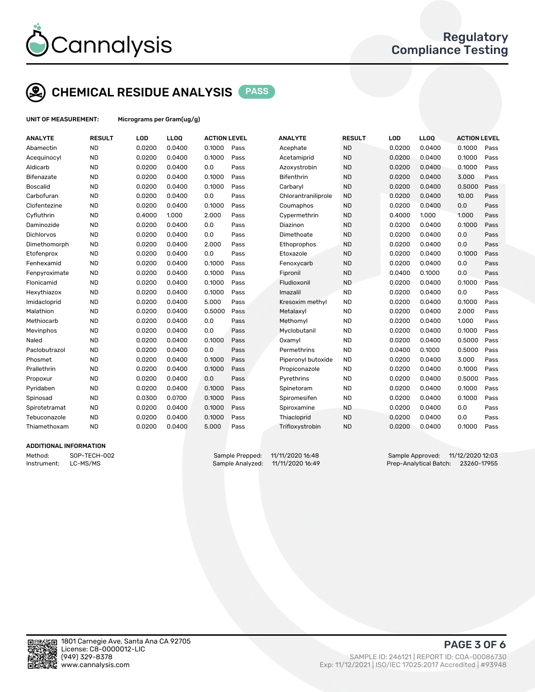

## CHEMICAL RESIDUE ANALYSIS PASS

UNIT OF MEASUREMENT: Micrograms per Gram(ug/g)

| <b>ANALYTE</b>    | <b>RESULT</b> | LOD    | LLOQ   | <b>ACTION LEVEL</b> |      | <b>ANALYTE</b>      | <b>RESULT</b> | LOD    | <b>LLOQ</b> | <b>ACTION LEVEL</b> |      |
|-------------------|---------------|--------|--------|---------------------|------|---------------------|---------------|--------|-------------|---------------------|------|
| Abamectin         | <b>ND</b>     | 0.0200 | 0.0400 | 0.1000              | Pass | Acephate            | <b>ND</b>     | 0.0200 | 0.0400      | 0.1000              | Pass |
| Acequinocyl       | <b>ND</b>     | 0.0200 | 0.0400 | 0.1000              | Pass | Acetamiprid         | <b>ND</b>     | 0.0200 | 0.0400      | 0.1000              | Pass |
| Aldicarb          | <b>ND</b>     | 0.0200 | 0.0400 | 0.0                 | Pass | Azoxystrobin        | <b>ND</b>     | 0.0200 | 0.0400      | 0.1000              | Pass |
| Bifenazate        | <b>ND</b>     | 0.0200 | 0.0400 | 0.1000              | Pass | <b>Bifenthrin</b>   | <b>ND</b>     | 0.0200 | 0.0400      | 3.000               | Pass |
| <b>Boscalid</b>   | <b>ND</b>     | 0.0200 | 0.0400 | 0.1000              | Pass | Carbaryl            | <b>ND</b>     | 0.0200 | 0.0400      | 0.5000              | Pass |
| Carbofuran        | <b>ND</b>     | 0.0200 | 0.0400 | 0.0                 | Pass | Chlorantraniliprole | <b>ND</b>     | 0.0200 | 0.0400      | 10.00               | Pass |
| Clofentezine      | <b>ND</b>     | 0.0200 | 0.0400 | 0.1000              | Pass | Coumaphos           | <b>ND</b>     | 0.0200 | 0.0400      | 0.0                 | Pass |
| Cyfluthrin        | <b>ND</b>     | 0.4000 | 1.000  | 2.000               | Pass | Cypermethrin        | <b>ND</b>     | 0.4000 | 1.000       | 1.000               | Pass |
| Daminozide        | <b>ND</b>     | 0.0200 | 0.0400 | 0.0                 | Pass | Diazinon            | <b>ND</b>     | 0.0200 | 0.0400      | 0.1000              | Pass |
| <b>Dichlorvos</b> | <b>ND</b>     | 0.0200 | 0.0400 | 0.0                 | Pass | Dimethoate          | <b>ND</b>     | 0.0200 | 0.0400      | 0.0                 | Pass |
| Dimethomorph      | <b>ND</b>     | 0.0200 | 0.0400 | 2.000               | Pass | Ethoprophos         | <b>ND</b>     | 0.0200 | 0.0400      | 0.0                 | Pass |
| Etofenprox        | <b>ND</b>     | 0.0200 | 0.0400 | 0.0                 | Pass | Etoxazole           | <b>ND</b>     | 0.0200 | 0.0400      | 0.1000              | Pass |
| Fenhexamid        | <b>ND</b>     | 0.0200 | 0.0400 | 0.1000              | Pass | Fenoxycarb          | <b>ND</b>     | 0.0200 | 0.0400      | 0.0                 | Pass |
| Fenpyroximate     | <b>ND</b>     | 0.0200 | 0.0400 | 0.1000              | Pass | Fipronil            | <b>ND</b>     | 0.0400 | 0.1000      | 0.0                 | Pass |
| Flonicamid        | <b>ND</b>     | 0.0200 | 0.0400 | 0.1000              | Pass | Fludioxonil         | <b>ND</b>     | 0.0200 | 0.0400      | 0.1000              | Pass |
| Hexythiazox       | <b>ND</b>     | 0.0200 | 0.0400 | 0.1000              | Pass | Imazalil            | <b>ND</b>     | 0.0200 | 0.0400      | 0.0                 | Pass |
| Imidacloprid      | <b>ND</b>     | 0.0200 | 0.0400 | 5.000               | Pass | Kresoxim methyl     | <b>ND</b>     | 0.0200 | 0.0400      | 0.1000              | Pass |
| Malathion         | <b>ND</b>     | 0.0200 | 0.0400 | 0.5000              | Pass | Metalaxyl           | <b>ND</b>     | 0.0200 | 0.0400      | 2.000               | Pass |
| Methiocarb        | <b>ND</b>     | 0.0200 | 0.0400 | 0.0                 | Pass | Methomyl            | <b>ND</b>     | 0.0200 | 0.0400      | 1.000               | Pass |
| Mevinphos         | <b>ND</b>     | 0.0200 | 0.0400 | 0.0                 | Pass | Myclobutanil        | <b>ND</b>     | 0.0200 | 0.0400      | 0.1000              | Pass |
| Naled             | <b>ND</b>     | 0.0200 | 0.0400 | 0.1000              | Pass | Oxamyl              | <b>ND</b>     | 0.0200 | 0.0400      | 0.5000              | Pass |
| Paclobutrazol     | <b>ND</b>     | 0.0200 | 0.0400 | 0.0                 | Pass | Permethrins         | <b>ND</b>     | 0.0400 | 0.1000      | 0.5000              | Pass |
| Phosmet           | <b>ND</b>     | 0.0200 | 0.0400 | 0.1000              | Pass | Piperonyl butoxide  | <b>ND</b>     | 0.0200 | 0.0400      | 3.000               | Pass |
| Prallethrin       | <b>ND</b>     | 0.0200 | 0.0400 | 0.1000              | Pass | Propiconazole       | <b>ND</b>     | 0.0200 | 0.0400      | 0.1000              | Pass |
| Propoxur          | <b>ND</b>     | 0.0200 | 0.0400 | 0.0                 | Pass | Pyrethrins          | <b>ND</b>     | 0.0200 | 0.0400      | 0.5000              | Pass |
| Pyridaben         | <b>ND</b>     | 0.0200 | 0.0400 | 0.1000              | Pass | Spinetoram          | <b>ND</b>     | 0.0200 | 0.0400      | 0.1000              | Pass |
| Spinosad          | <b>ND</b>     | 0.0300 | 0.0700 | 0.1000              | Pass | Spiromesifen        | <b>ND</b>     | 0.0200 | 0.0400      | 0.1000              | Pass |
| Spirotetramat     | <b>ND</b>     | 0.0200 | 0.0400 | 0.1000              | Pass | Spiroxamine         | <b>ND</b>     | 0.0200 | 0.0400      | 0.0                 | Pass |
| Tebuconazole      | <b>ND</b>     | 0.0200 | 0.0400 | 0.1000              | Pass | Thiacloprid         | <b>ND</b>     | 0.0200 | 0.0400      | 0.0                 | Pass |
| Thiamethoxam      | <b>ND</b>     | 0.0200 | 0.0400 | 5.000               | Pass | Trifloxystrobin     | <b>ND</b>     | 0.0200 | 0.0400      | 0.1000              | Pass |
|                   |               |        |        |                     |      |                     |               |        |             |                     |      |

#### ADDITIONAL INFORMATION

Method: SOP-TECH-002 Sample Prepped: 11/11/2020 16:48 Sample Approved: 11/12/2020 12:03 Instrument: LC-MS/MS Sample Analyzed: 11/11/2020 16:49 Prep-Analytical Batch: 23260-17955



PAGE 3 OF 6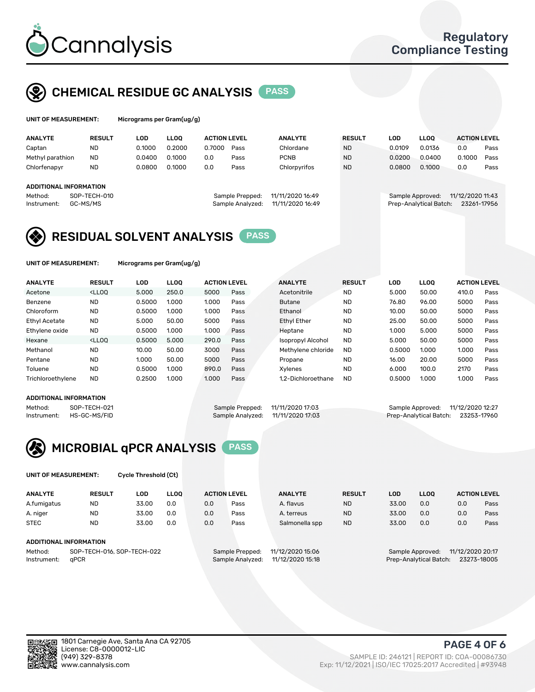

## CHEMICAL RESIDUE GC ANALYSIS PASS

| UNIT OF MEASUREMENT: | Micrograms per |
|----------------------|----------------|
|                      |                |

Gram(ug/g)

| <b>ANALYTE</b>         | <b>RESULT</b>            | LOD    | <b>LLOO</b> | <b>ACTION LEVEL</b> |                                     | <b>ANALYTE</b>                       | <b>RESULT</b> | LOD    | <b>LLOO</b>                                | <b>ACTION LEVEL</b>             |      |
|------------------------|--------------------------|--------|-------------|---------------------|-------------------------------------|--------------------------------------|---------------|--------|--------------------------------------------|---------------------------------|------|
| Captan                 | <b>ND</b>                | 0.1000 | 0.2000      | 0.7000              | Pass                                | Chlordane                            | <b>ND</b>     | 0.0109 | 0.0136                                     | 0.0                             | Pass |
| Methyl parathion       | <b>ND</b>                | 0.0400 | 0.1000      | 0.0                 | Pass                                | <b>PCNB</b>                          | <b>ND</b>     | 0.0200 | 0.0400                                     | 0.1000                          | Pass |
| Chlorfenapyr           | <b>ND</b>                | 0.0800 | 0.1000      | 0.0                 | Pass                                | Chlorpyrifos                         | <b>ND</b>     | 0.0800 | 0.1000                                     | 0.0                             | Pass |
| ADDITIONAL INFORMATION |                          |        |             |                     |                                     |                                      |               |        |                                            |                                 |      |
| Method:<br>Instrument: | SOP-TECH-010<br>GC-MS/MS |        |             |                     | Sample Prepped:<br>Sample Analyzed: | 11/11/2020 16:49<br>11/11/2020 16:49 |               |        | Sample Approved:<br>Prep-Analytical Batch: | 11/12/2020 11:43<br>23261-17956 |      |

### RESIDUAL SOLVENT ANALYSIS PASS

UNIT OF MEASUREMENT: Micrograms per Gram(ug/g)

| <b>ANALYTE</b>       | <b>RESULT</b>                                                                                                                                                                          | LOD    | <b>LLOO</b> | <b>ACTION LEVEL</b> |      | <b>ANALYTE</b>           | <b>RESULT</b> | LOD    | <b>LLOO</b> | <b>ACTION LEVEL</b> |      |
|----------------------|----------------------------------------------------------------------------------------------------------------------------------------------------------------------------------------|--------|-------------|---------------------|------|--------------------------|---------------|--------|-------------|---------------------|------|
| Acetone              | <lloq< td=""><td>5.000</td><td>250.0</td><td>5000</td><td>Pass</td><td>Acetonitrile</td><td><b>ND</b></td><td>5.000</td><td>50.00</td><td>410.0</td><td>Pass</td></lloq<>              | 5.000  | 250.0       | 5000                | Pass | Acetonitrile             | <b>ND</b>     | 5.000  | 50.00       | 410.0               | Pass |
| Benzene              | <b>ND</b>                                                                                                                                                                              | 0.5000 | 1.000       | 1.000               | Pass | <b>Butane</b>            | <b>ND</b>     | 76.80  | 96.00       | 5000                | Pass |
| Chloroform           | <b>ND</b>                                                                                                                                                                              | 0.5000 | 1.000       | 1.000               | Pass | Ethanol                  | <b>ND</b>     | 10.00  | 50.00       | 5000                | Pass |
| <b>Ethyl Acetate</b> | <b>ND</b>                                                                                                                                                                              | 5.000  | 50.00       | 5000                | Pass | <b>Ethyl Ether</b>       | <b>ND</b>     | 25.00  | 50.00       | 5000                | Pass |
| Ethylene oxide       | <b>ND</b>                                                                                                                                                                              | 0.5000 | 1.000       | 1.000               | Pass | Heptane                  | <b>ND</b>     | 1.000  | 5.000       | 5000                | Pass |
| Hexane               | <lloo< td=""><td>0.5000</td><td>5.000</td><td>290.0</td><td>Pass</td><td><b>Isopropyl Alcohol</b></td><td><b>ND</b></td><td>5.000</td><td>50.00</td><td>5000</td><td>Pass</td></lloo<> | 0.5000 | 5.000       | 290.0               | Pass | <b>Isopropyl Alcohol</b> | <b>ND</b>     | 5.000  | 50.00       | 5000                | Pass |
| Methanol             | <b>ND</b>                                                                                                                                                                              | 10.00  | 50.00       | 3000                | Pass | Methylene chloride       | <b>ND</b>     | 0.5000 | 1.000       | 1.000               | Pass |
| Pentane              | <b>ND</b>                                                                                                                                                                              | 1.000  | 50.00       | 5000                | Pass | Propane                  | <b>ND</b>     | 16.00  | 20.00       | 5000                | Pass |
| Toluene              | <b>ND</b>                                                                                                                                                                              | 0.5000 | 1.000       | 890.0               | Pass | Xvlenes                  | <b>ND</b>     | 6.000  | 100.0       | 2170                | Pass |
| Trichloroethylene    | <b>ND</b>                                                                                                                                                                              | 0.2500 | 1.000       | 1.000               | Pass | 1.2-Dichloroethane       | <b>ND</b>     | 0.5000 | 1.000       | 1.000               | Pass |

#### ADDITIONAL INFORMATION

Method: SOP-TECH-021 Sample Prepped: 11/11/2020 17:03 Sample Approved: 11/12/2020 12:27<br>Sample Analyzed: 11/11/2020 17:03 Prep-Analytical Batch: 23253-17960

Prep-Analytical Batch: 23253-17960



UNIT OF MEASUREMENT: Cycle Threshold (Ct)

| <b>ANALYTE</b>                        | <b>RESULT</b>          | LOD   | <b>LLOO</b>      |                                     | <b>ACTION LEVEL</b> | <b>ANALYTE</b> | <b>RESULT</b>                        | LOD   | LL <sub>00</sub> |     | <b>ACTION LEVEL</b> |
|---------------------------------------|------------------------|-------|------------------|-------------------------------------|---------------------|----------------|--------------------------------------|-------|------------------|-----|---------------------|
| A.fumigatus                           | <b>ND</b>              | 33.00 | 0.0              | 0.0                                 | Pass                | A. flavus      | <b>ND</b>                            | 33.00 | 0.0              | 0.0 | Pass                |
| A. niger                              | <b>ND</b>              | 33.00 | 0.0              | 0.0                                 | Pass                | A. terreus     | <b>ND</b>                            | 33.00 | 0.0              | 0.0 | Pass                |
| <b>STEC</b>                           | <b>ND</b>              | 33.00 | 0.0              | 0.0                                 | Pass                | Salmonella spp | <b>ND</b>                            | 33.00 | 0.0              | 0.0 | Pass                |
|                                       | ADDITIONAL INFORMATION |       |                  |                                     |                     |                |                                      |       |                  |     |                     |
| SOP-TECH-016, SOP-TECH-022<br>Method: |                        |       |                  | 11/12/2020 15:06<br>Sample Prepped: |                     |                | 11/12/2020 20:17<br>Sample Approved: |       |                  |     |                     |
| aPCR<br>Instrument:                   |                        |       | Sample Analyzed: | 11/12/2020 15:18                    |                     |                | Prep-Analytical Batch:               |       | 23273-18005      |     |                     |

PAGE 4 OF 6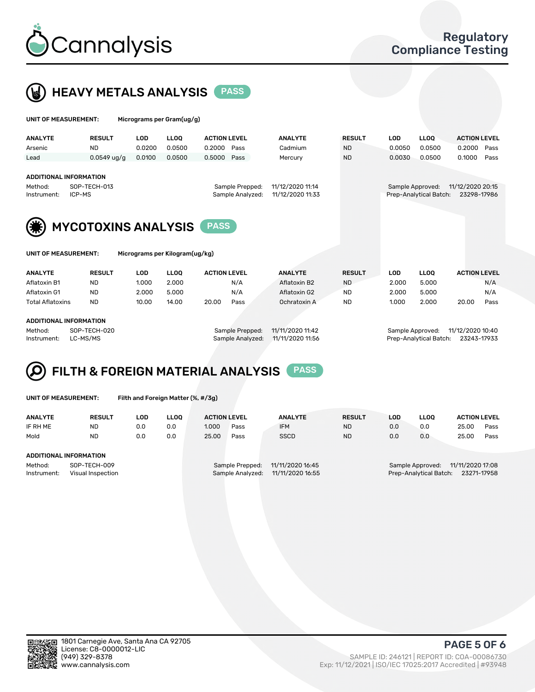



| UNIT OF MEASUREMENT:                      |               | Micrograms per Gram(ug/g)      |             |                     |                  |                                       |            |             |                     |
|-------------------------------------------|---------------|--------------------------------|-------------|---------------------|------------------|---------------------------------------|------------|-------------|---------------------|
| <b>ANALYTE</b>                            | <b>RESULT</b> | <b>LOD</b>                     | <b>LLOO</b> | <b>ACTION LEVEL</b> | <b>ANALYTE</b>   | <b>RESULT</b>                         | <b>LOD</b> | <b>LLOO</b> | <b>ACTION LEVEL</b> |
| Arsenic                                   | <b>ND</b>     | 0.0200                         | 0.0500      | 0.2000<br>Pass      | Cadmium          | <b>ND</b>                             | 0.0050     | 0.0500      | 0.2000<br>Pass      |
| Lead                                      | $0.0549$ ug/g | 0.0100                         | 0.0500      | 0.5000<br>Pass      | Mercury          | <b>ND</b>                             | 0.0030     | 0.0500      | 0.1000<br>Pass      |
|                                           |               |                                |             |                     |                  |                                       |            |             |                     |
| <b>ADDITIONAL INFORMATION</b>             |               |                                |             |                     |                  |                                       |            |             |                     |
| SOP-TECH-013<br>Method:                   |               |                                |             | Sample Prepped:     | 11/12/2020 11:14 | 11/12/2020 20:15<br>Sample Approved:  |            |             |                     |
| ICP-MS<br>Instrument:                     |               |                                |             | Sample Analyzed:    | 11/12/2020 11:33 | Prep-Analytical Batch:<br>23298-17986 |            |             |                     |
|                                           |               |                                |             |                     |                  |                                       |            |             |                     |
| <b>MYCOTOXINS ANALYSIS</b><br><b>PASS</b> |               |                                |             |                     |                  |                                       |            |             |                     |
|                                           |               |                                |             |                     |                  |                                       |            |             |                     |
| UNIT OF MEASUREMENT:                      |               | Micrograms per Kilogram(ug/kg) |             |                     |                  |                                       |            |             |                     |
| <b>ANALYTE</b>                            | <b>RESULT</b> | <b>LOD</b>                     | <b>LLOO</b> | <b>ACTION LEVEL</b> | <b>ANALYTE</b>   | <b>RESULT</b>                         | <b>LOD</b> | <b>LLOO</b> | <b>ACTION LEVEL</b> |
| Aflatoxin B1                              | <b>ND</b>     | 1.000                          | 2.000       | N/A                 | Aflatoxin B2     | <b>ND</b>                             | 2.000      | 5.000       | N/A                 |

Aflatoxin G1 ND 2.000 5.000 N/A Aflatoxin G2 ND 2.000 5.000 N/A Total Aflatoxins ND 10.00 14.00 20.00 Pass Ochratoxin A ND 1.000 2.000 20.00 Pass

#### ADDITIONAL INFORMATION

Method: SOP-TECH-020 Sample Prepped: 11/11/2020 11:42 Sample Approved: 11/12/2020 10:40 Instrument: LC-MS/MS Sample Analyzed: 11/11/2020 11:56 Prep-Analytical Batch: 23243-17933

## FILTH & FOREIGN MATERIAL ANALYSIS PASS

UNIT OF MEASUREMENT: Filth and Foreign Matter (%, #/3g)

| <b>ANALYTE</b>                                              | <b>RESULT</b> | LOD | LLOO | <b>ACTION LEVEL</b>                                                         |      | <b>ANALYTE</b> | <b>RESULT</b> | LOD                                                                           | <b>LLOO</b> | <b>ACTION LEVEL</b> |      |
|-------------------------------------------------------------|---------------|-----|------|-----------------------------------------------------------------------------|------|----------------|---------------|-------------------------------------------------------------------------------|-------------|---------------------|------|
| IF RH ME                                                    | <b>ND</b>     | 0.0 | 0.0  | 1.000                                                                       | Pass | <b>IFM</b>     | <b>ND</b>     | 0.0                                                                           | 0.0         | 25.00               | Pass |
| Mold                                                        | <b>ND</b>     | 0.0 | 0.0  | 25.00                                                                       | Pass | <b>SSCD</b>    | <b>ND</b>     | 0.0                                                                           | 0.0         | 25.00               | Pass |
| ADDITIONAL INFORMATION                                      |               |     |      |                                                                             |      |                |               |                                                                               |             |                     |      |
| Method:<br>SOP-TECH-009<br>Instrument:<br>Visual Inspection |               |     |      | 11/11/2020 16:45<br>Sample Prepped:<br>11/11/2020 16:55<br>Sample Analyzed: |      |                |               | 11/11/2020 17:08<br>Sample Approved:<br>Prep-Analytical Batch:<br>23271-17958 |             |                     |      |